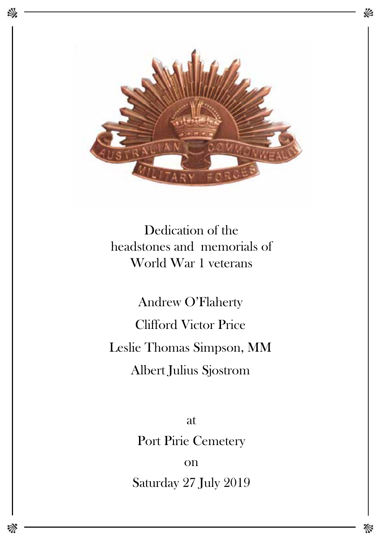

Dedication of the headstones and memorials of World War 1 veterans

Clifford Victor Price Andrew O'Flaherty Leslie Thomas Simpson, MM Albert Julius Sjostrom

> at Port Pirie Cemetery

Saturday 27 July 2019 on

欢

«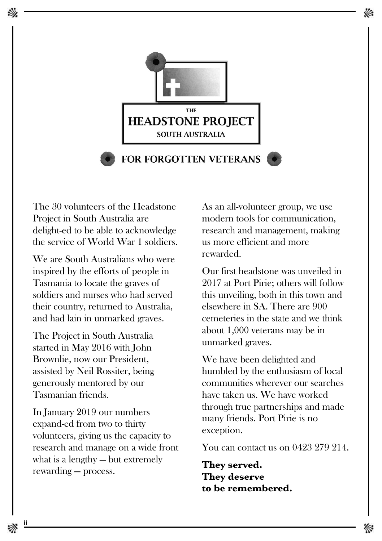

The 30 volunteers of the Headstone Project in South Australia are delight-ed to be able to acknowledge the service of World War 1 soldiers.

We are South Australians who were inspired by the efforts of people in Tasmania to locate the graves of soldiers and nurses who had served their country, returned to Australia, and had lain in unmarked graves.

The Project in South Australia started in May 2016 with John Brownlie, now our President, assisted by Neil Rossiter, being generously mentored by our Tasmanian friends.

In January 2019 our numbers expand-ed from two to thirty volunteers, giving us the capacity to research and manage on a wide front what is a lengthy — but extremely rewarding — process.

As an all-volunteer group, we use modern tools for communication, research and management, making us more efficient and more rewarded.

Our first headstone was unveiled in 2017 at Port Pirie; others will follow this unveiling, both in this town and elsewhere in SA. There are 900 cemeteries in the state and we think about 1,000 veterans may be in unmarked graves.

We have been delighted and humbled by the enthusiasm of local communities wherever our searches have taken us. We have worked through true partnerships and made many friends. Port Pirie is no exception.

You can contact us on 0423 279 214.

**They served. They deserve to be remembered.**

ij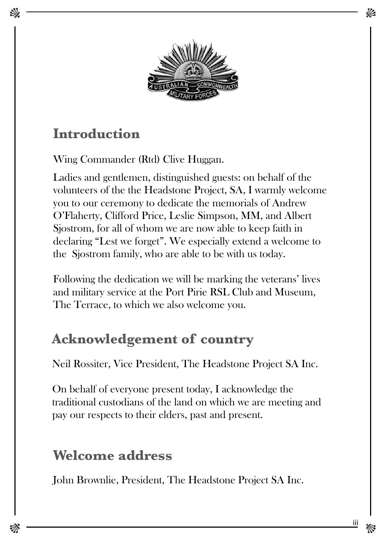

# **Introduction**

Wing Commander (Rtd) Clive Huggan.

Ladies and gentlemen, distinguished guests: on behalf of the volunteers of the the Headstone Project, SA, I warmly welcome you to our ceremony to dedicate the memorials of Andrew O'Flaherty, Clifford Price, Leslie Simpson, MM, and Albert Sjostrom, for all of whom we are now able to keep faith in declaring "Lest we forget". We especially extend a welcome to the Sjostrom family, who are able to be with us today.

Following the dedication we will be marking the veterans' lives and military service at the Port Pirie RSL Club and Museum, The Terrace, to which we also welcome you.

# **Acknowledgement of country**

Neil Rossiter, Vice President, The Headstone Project SA Inc.

On behalf of everyone present today, I acknowledge the traditional custodians of the land on which we are meeting and pay our respects to their elders, past and present.

## **Welcome address**

John Brownlie, President, The Headstone Project SA Inc.

iii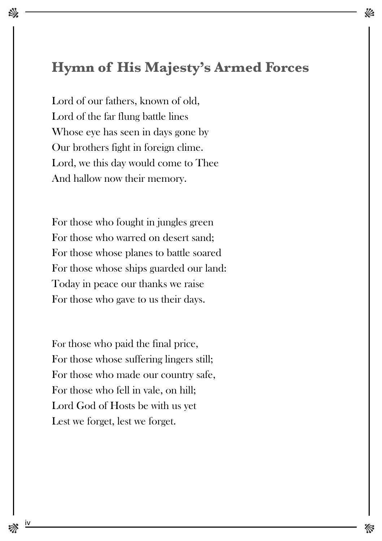### **Hymn of His Majesty's Armed Forces**

Lord of our fathers, known of old, Lord of the far flung battle lines Whose eye has seen in days gone by Our brothers fight in foreign clime. Lord, we this day would come to Thee And hallow now their memory.

For those who fought in jungles green For those who warred on desert sand; For those whose planes to battle soared For those whose ships guarded our land: Today in peace our thanks we raise For those who gave to us their days.

For those who paid the final price, For those whose suffering lingers still; For those who made our country safe, For those who fell in vale, on hill; Lord God of Hosts be with us yet Lest we forget, lest we forget.

<u>iv</u>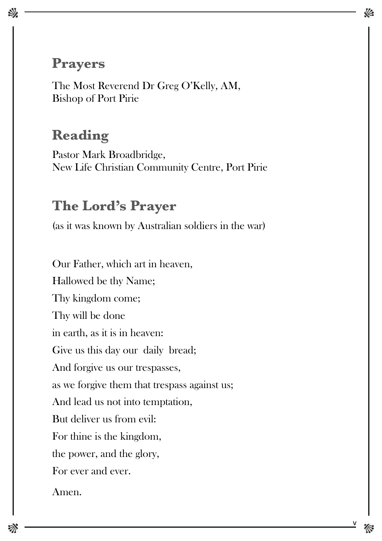### **Prayers**

欢

The Most Reverend Dr Greg O'Kelly, AM, Bishop of Port Pirie

## **Reading**

Pastor Mark Broadbridge, New Life Christian Community Centre, Port Pirie

#### **The Lord's Prayer**

(as it was known by Australian soldiers in the war)

Our Father, which art in heaven, Hallowed be thy Name; Thy kingdom come; Thy will be done in earth, as it is in heaven: Give us this day our daily bread; And forgive us our trespasses, as we forgive them that trespass against us; And lead us not into temptation, But deliver us from evil: For thine is the kingdom, the power, and the glory, For ever and ever.

Amen.

 $\vee$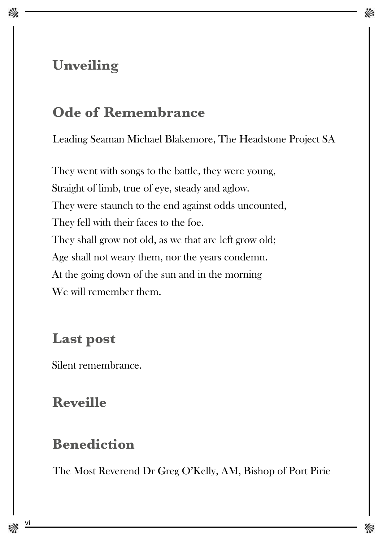## **Unveiling**

## **Ode of Remembrance**

Leading Seaman Michael Blakemore, The Headstone Project SA

They went with songs to the battle, they were young, Straight of limb, true of eye, steady and aglow. They were staunch to the end against odds uncounted, They fell with their faces to the foe. They shall grow not old, as we that are left grow old; Age shall not weary them, nor the years condemn. At the going down of the sun and in the morning We will remember them.

### **Last post**

Silent remembrance.

## **Reveille**

### **Benediction**

The Most Reverend Dr Greg O'Kelly, AM, Bishop of Port Pirie

 $\underline{v}$ i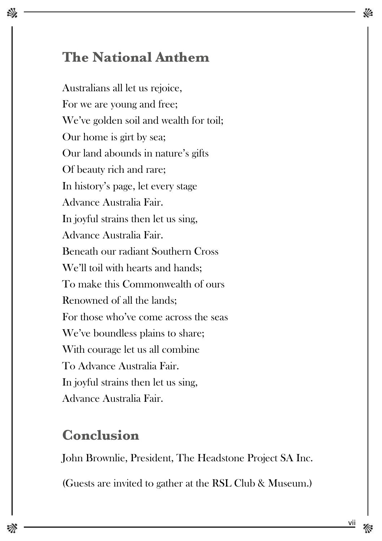## **The National Anthem**

Australians all let us rejoice, For we are young and free; We've golden soil and wealth for toil; Our home is girt by sea; Our land abounds in nature's gifts Of beauty rich and rare; In history's page, let every stage Advance Australia Fair. In joyful strains then let us sing, Advance Australia Fair. Beneath our radiant Southern Cross We'll toil with hearts and hands: To make this Commonwealth of ours Renowned of all the lands; For those who've come across the seas We've boundless plains to share; With courage let us all combine To Advance Australia Fair. In joyful strains then let us sing, Advance Australia Fair.

### **Conclusion**

John Brownlie, President, The Headstone Project SA Inc.

(Guests are invited to gather at the RSL Club & Museum.)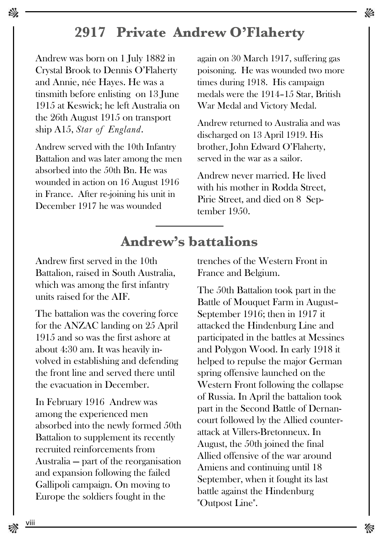### **2917 Private Andrew O'Flaherty**

Andrew was born on 1 July 1882 in Crystal Brook to Dennis O'Flaherty and Annie, née Hayes. He was a tinsmith before enlisting on 13 June 1915 at Keswick; he left Australia on the 26th August 1915 on transport ship A15, *Star of England*.

Andrew served with the 10th Infantry Battalion and was later among the men absorbed into the 50th Bn. He was wounded in action on 16 August 1916 in France. After re-joining his unit in December 1917 he was wounded

again on 30 March 1917, suffering gas poisoning. He was wounded two more times during 1918. His campaign medals were the 1914–15 Star, British War Medal and Victory Medal.

Andrew returned to Australia and was discharged on 13 April 1919. His brother, John Edward O'Flaherty, served in the war as a sailor.

Andrew never married. He lived with his mother in Rodda Street. Pirie Street, and died on 8 September 1950.

## **Andrew's battalions**

Andrew first served in the 10th Battalion, raised in South Australia, which was among the first infantry units raised for the AIF.

The battalion was the covering force for the ANZAC landing on 25 April 1915 and so was the first ashore at about 4:30 am. It was heavily involved in establishing and defending the front line and served there until the evacuation in December.

In February 1916 Andrew was among the experienced men absorbed into the newly formed 50th Battalion to supplement its recently recruited reinforcements from Australia — part of the reorganisation and expansion following the failed Gallipoli campaign. On moving to Europe the soldiers fought in the

trenches of the Western Front in France and Belgium.

The 50th Battalion took part in the Battle of Mouquet Farm in August– September 1916; then in 1917 it attacked the Hindenburg Line and participated in the battles at Messines and Polygon Wood. In early 1918 it helped to repulse the major German spring offensive launched on the Western Front following the collapse of Russia. In April the battalion took part in the Second Battle of Dernancourt followed by the Allied counterattack at Villers-Bretonneux. In August, the 50th joined the final Allied offensive of the war around Amiens and continuing until 18 September, when it fought its last battle against the Hindenburg "Outpost Line".

<u>viii</u>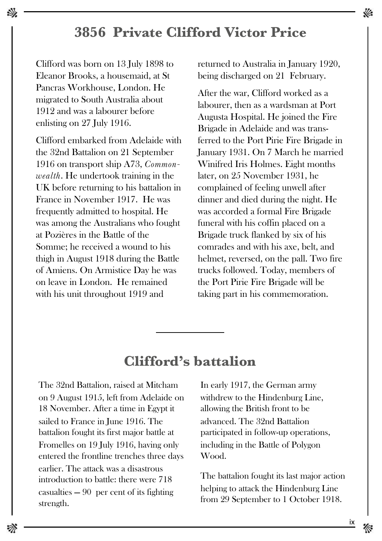### **3856 Private Clifford Victor Price**

Clifford was born on 13 July 1898 to Eleanor Brooks, a housemaid, at St Pancras Workhouse, London. He migrated to South Australia about 1912 and was a labourer before enlisting on 27 July 1916.

Clifford embarked from Adelaide with the 32nd Battalion on 21 September 1916 on transport ship A73, *Commonwealth*. He undertook training in the UK before returning to his battalion in France in November 1917. He was frequently admitted to hospital. He was among the Australians who fought at Pozières in the Battle of the Somme; he received a wound to his thigh in August 1918 during the Battle of Amiens. On Armistice Day he was on leave in London. He remained with his unit throughout 1919 and

returned to Australia in January 1920, being discharged on 21 February.

After the war, Clifford worked as a labourer, then as a wardsman at Port Augusta Hospital. He joined the Fire Brigade in Adelaide and was transferred to the Port Pirie Fire Brigade in January 1931. On 7 March he married Winifred Iris Holmes. Eight months later, on 25 November 1931, he complained of feeling unwell after dinner and died during the night. He was accorded a formal Fire Brigade funeral with his coffin placed on a Brigade truck flanked by six of his comrades and with his axe, belt, and helmet, reversed, on the pall. Two fire trucks followed. Today, members of the Port Pirie Fire Brigade will be taking part in his commemoration.

#### **Clifford's battalion**

The 32nd Battalion, raised at Mitcham on 9 August 1915, left from Adelaide on 18 November. After a time in Egypt it sailed to France in June 1916. The battalion fought its first major battle at Fromelles on 19 July 1916, having only entered the frontline trenches three days earlier. The attack was a disastrous introduction to battle: there were 718 casualties  $-90$  per cent of its fighting strength.

In early 1917, the German army withdrew to the Hindenburg Line, allowing the British front to be advanced. The 32nd Battalion participated in follow-up operations, including in the Battle of Polygon Wood.

The battalion fought its last major action helping to attack the Hindenburg Line from 29 September to 1 October 1918.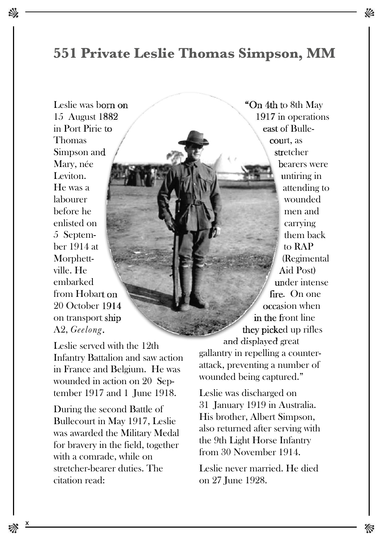#### **551 Private Leslie Thomas Simpson, MM**

Leslie was born on 15 August 1882 in Port Pirie to Thomas Simpson and Mary, née Leviton. He was a labourer before he enlisted on 5 September 1914 at Morphettville. He embarked from Hobart on 20 October 1914 on transport ship A2, *Geelong*.

Leslie served with the 12th Infantry Battalion and saw action in France and Belgium. He was wounded in action on 20 September 1917 and 1 June 1918.

During the second Battle of Bullecourt in May 1917, Leslie was awarded the Military Medal for bravery in the field, together with a comrade, while on stretcher-bearer duties. The citation read:

"On 4th to 8th May 1917 in operations east of Bullecourt, as stretcher bearers were untiring in attending to wounded men and carrying them back to RAP (Regimental Aid Post) under intense fire. On one occasion when in the front line they picked up rifles and displayed great gallantry in repelling a counterattack, preventing a number of wounded being captured."

Leslie was discharged on 31 January 1919 in Australia. His brother, Albert Simpson, also returned after serving with the 9th Light Horse Infantry from 30 November 1914.

Leslie never married. He died on 27 June 1928.

X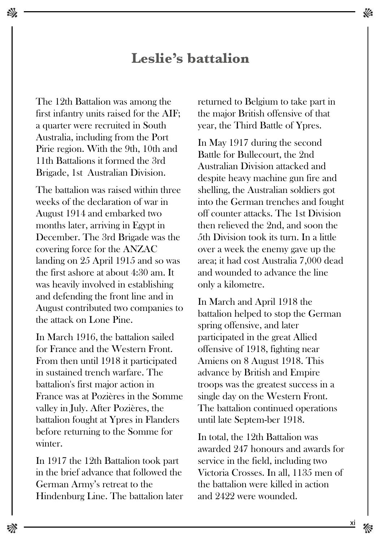#### **Leslie's battalion**

The 12th Battalion was among the first infantry units raised for the AIF; a quarter were recruited in South Australia, including from the Port Pirie region. With the 9th, 10th and 11th Battalions it formed the 3rd Brigade, 1st Australian Division.

The battalion was raised within three weeks of the declaration of war in August 1914 and embarked two months later, arriving in Egypt in December. The 3rd Brigade was the covering force for the ANZAC landing on 25 April 1915 and so was the first ashore at about 4:30 am. It was heavily involved in establishing and defending the front line and in August contributed two companies to the attack on Lone Pine.

In March 1916, the battalion sailed for France and the Western Front. From then until 1918 it participated in sustained trench warfare. The battalion's first major action in France was at Pozières in the Somme valley in July. After Pozières, the battalion fought at Ypres in Flanders before returning to the Somme for winter.

In 1917 the 12th Battalion took part in the brief advance that followed the German Army's retreat to the Hindenburg Line. The battalion later returned to Belgium to take part in the major British offensive of that year, the Third Battle of Ypres.

In May 1917 during the second Battle for Bullecourt, the 2nd Australian Division attacked and despite heavy machine gun fire and shelling, the Australian soldiers got into the German trenches and fought off counter attacks. The 1st Division then relieved the 2nd, and soon the 5th Division took its turn. In a little over a week the enemy gave up the area; it had cost Australia 7,000 dead and wounded to advance the line only a kilometre.

In March and April 1918 the battalion helped to stop the German spring offensive, and later participated in the great Allied offensive of 1918, fighting near Amiens on 8 August 1918. This advance by British and Empire troops was the greatest success in a single day on the Western Front. The battalion continued operations until late Septem-ber 1918.

In total, the 12th Battalion was awarded 247 honours and awards for service in the field, including two Victoria Crosses. In all, 1135 men of the battalion were killed in action and 2422 were wounded.

xi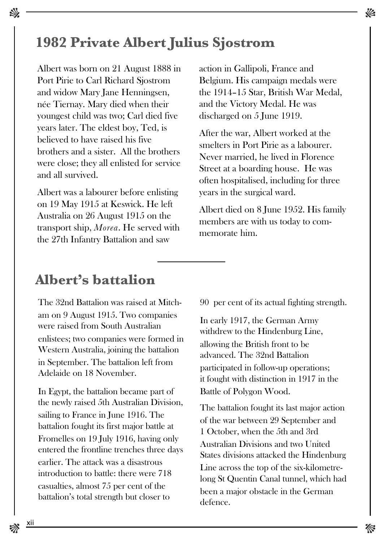### **1982 Private Albert Julius Sjostrom**

Albert was born on 21 August 1888 in Port Pirie to Carl Richard Sjostrom and widow Mary Jane Henningsen, née Tiernay. Mary died when their youngest child was two; Carl died five years later. The eldest boy, Ted, is believed to have raised his five brothers and a sister. All the brothers were close; they all enlisted for service and all survived.

Albert was a labourer before enlisting on 19 May 1915 at Keswick. He left Australia on 26 August 1915 on the transport ship, *Morea*. He served with the 27th Infantry Battalion and saw

action in Gallipoli, France and Belgium. His campaign medals were the 1914–15 Star, British War Medal, and the Victory Medal. He was discharged on 5 June 1919.

After the war, Albert worked at the smelters in Port Pirie as a labourer. Never married, he lived in Florence Street at a boarding house. He was often hospitalised, including for three years in the surgical ward.

Albert died on 8 June 1952. His family members are with us today to commemorate him.

## **Albert's battalion**

The 32nd Battalion was raised at Mitcham on 9 August 1915. Two companies were raised from South Australian enlistees; two companies were formed in Western Australia, joining the battalion in September. The battalion left from Adelaide on 18 November.

In Egypt, the battalion became part of the newly raised 5th Australian Division, sailing to France in June 1916. The battalion fought its first major battle at Fromelles on 19 July 1916, having only entered the frontline trenches three days earlier. The attack was a disastrous introduction to battle: there were 718 casualties, almost 75 per cent of the battalion's total strength but closer to

90 per cent of its actual fighting strength.

In early 1917, the German Army withdrew to the Hindenburg Line, allowing the British front to be advanced. The 32nd Battalion participated in follow-up operations; it fought with distinction in 1917 in the Battle of Polygon Wood.

The battalion fought its last major action of the war between 29 September and 1 October, when the 5th and 3rd Australian Divisions and two United States divisions attacked the Hindenburg Line across the top of the six-kilometrelong St Quentin Canal tunnel, which had been a major obstacle in the German defence.

xii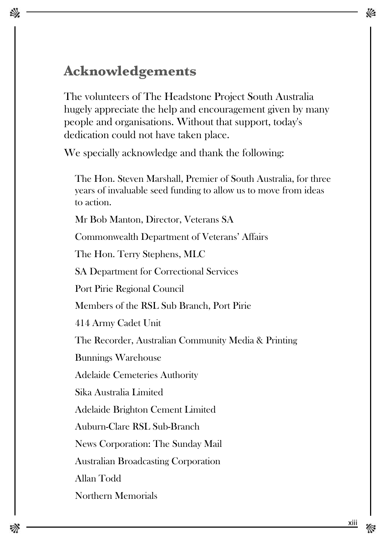### **Acknowledgements**

The volunteers of The Headstone Project South Australia hugely appreciate the help and encouragement given by many people and organisations. Without that support, today's dedication could not have taken place.

We specially acknowledge and thank the following:

The Hon. Steven Marshall, Premier of South Australia, for three years of invaluable seed funding to allow us to move from ideas to action.

Mr Bob Manton, Director, Veterans SA

Commonwealth Department of Veterans' Affairs

The Hon. Terry Stephens, MLC

SA Department for Correctional Services

Port Pirie Regional Council

Members of the RSL Sub Branch, Port Pirie

414 Army Cadet Unit

The Recorder, Australian Community Media & Printing

Bunnings Warehouse

Adelaide Cemeteries Authority

Sika Australia Limited

Adelaide Brighton Cement Limited

Auburn-Clare RSL Sub-Branch

News Corporation: The Sunday Mail

Australian Broadcasting Corporation

Allan Todd

Northern Memorials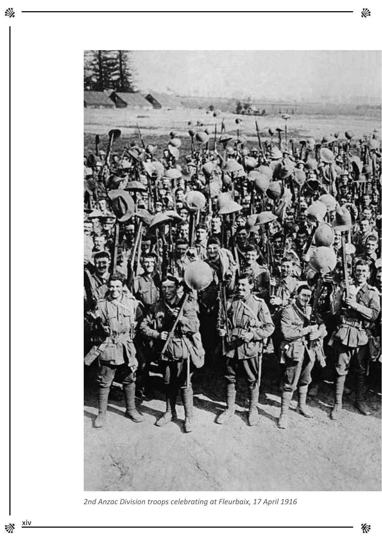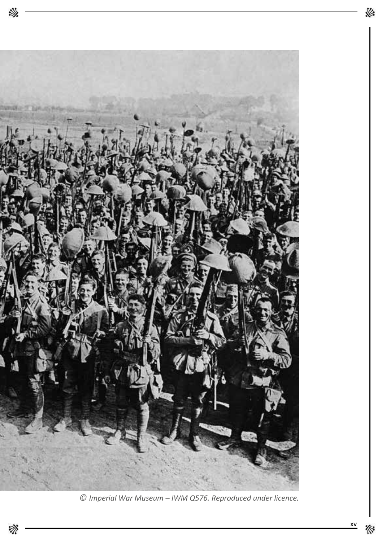

 $\odot$  Imperial War Museum - IWM Q576. Reproduced under licence.